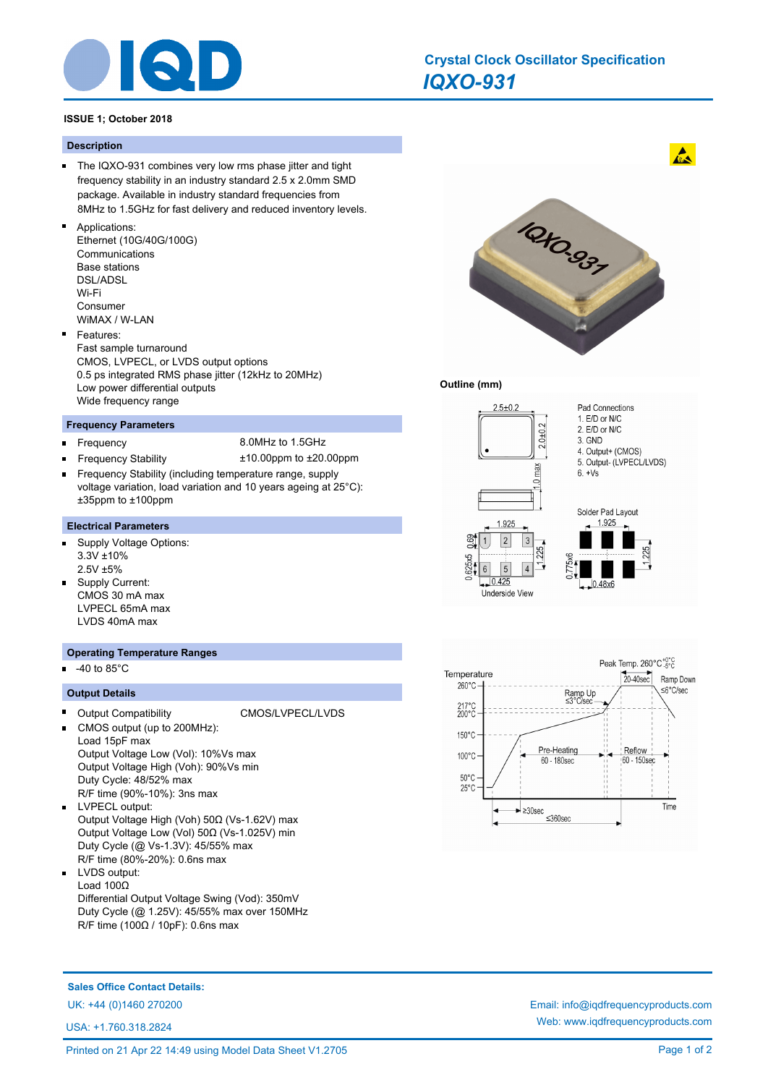

# *IQXO-931* **Crystal Clock Oscillator Specification**

## **ISSUE 1; October 2018**

#### **Description**

- $\blacksquare$ The IQXO-931 combines very low rms phase jitter and tight frequency stability in an industry standard 2.5 x 2.0mm SMD package. Available in industry standard frequencies from 8MHz to 1.5GHz for fast delivery and reduced inventory levels.
- Applications:
	- Ethernet (10G/40G/100G) Communications Base stations DSL/ADSL Wi-Fi Consumer WiMAX / W-LAN
- Features: Fast sample turnaround CMOS, LVPECL, or LVDS output options 0.5 ps integrated RMS phase jitter (12kHz to 20MHz) Low power differential outputs Wide frequency range

#### **Frequency Parameters**

- n. Frequency 8.0MHz to 1.5GHz
	- Frequency Stability ±10.00ppm to ±20.00ppm
- Frequency Stability (including temperature range, supply Н voltage variation, load variation and 10 years ageing at 25°C): ±35ppm to ±100ppm

## **Electrical Parameters**

- $\blacksquare$ Supply Voltage Options: 3.3V ±10% 2.5V ±5%
- Supply Current: CMOS 30 mA max LVPECL 65mA max LVDS 40mA max

#### **Operating Temperature Ranges**

-40 to 85°C

## **Output Details**

- Output Compatibility CMOS/LVPECL/LVDS CMOS output (up to 200MHz): Load 15pF max Output Voltage Low (Vol): 10%Vs max Output Voltage High (Voh): 90%Vs min Duty Cycle: 48/52% max R/F time (90%-10%): 3ns max
- LVPECL output:  $\blacksquare$ Output Voltage High (Voh) 50Ω (Vs-1.62V) max Output Voltage Low (Vol) 50Ω (Vs-1.025V) min Duty Cycle (@ Vs-1.3V): 45/55% max R/F time (80%-20%): 0.6ns max
- LVDS output:  $\blacksquare$ Load 100Ω Differential Output Voltage Swing (Vod): 350mV Duty Cycle (@ 1.25V): 45/55% max over 150MHz R/F time (100Ω / 10pF): 0.6ns max



 $\mathbf{A}$ 

#### **Outline (mm)**





**Sales Office Contact Details:**

USA: +1.760.318.2824

UK: +44 (0)1460 270200 Email: info@iqdfrequencyproducts.com Web: www.iqdfrequencyproducts.com